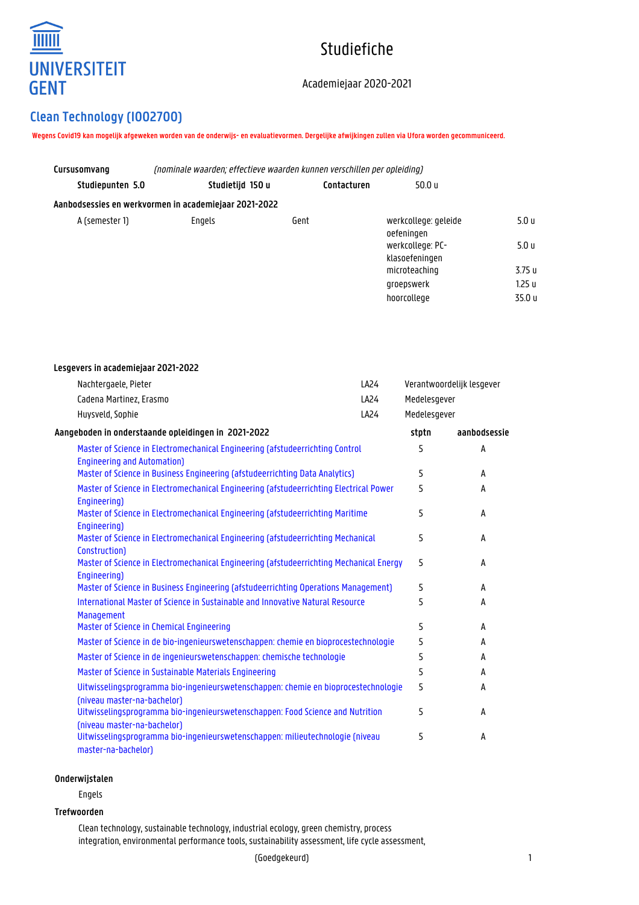

# Studiefiche

### Academiejaar 2020-2021

## **Clean Technology (I002700)**

**Lesgevers in academiejaar 2021-2022**

**Wegens Covid19 kan mogelijk afgeweken worden van de onderwijs- en evaluatievormen. Dergelijke afwijkingen zullen via Ufora worden gecommuniceerd.**

| (nominale waarden; effectieve waarden kunnen verschillen per opleiding) |             |                                    |                  |
|-------------------------------------------------------------------------|-------------|------------------------------------|------------------|
| Studietijd 150 u                                                        | Contacturen | 50.0 u                             |                  |
| Aanbodsessies en werkvormen in academiejaar 2021-2022                   |             |                                    |                  |
| Engels                                                                  | Gent        | werkcollege: geleide<br>oefeningen | 5.0 u            |
|                                                                         |             | werkcollege: PC-<br>klasoefeningen | 5.0 <sub>u</sub> |
|                                                                         |             | microteaching                      | 3.75 u           |
|                                                                         |             | groepswerk                         | 1.25 u           |
|                                                                         |             | hoorcollege                        | 35.0 u           |
|                                                                         |             |                                    |                  |

| Nachtergaele, Pieter                                                                                                | LA24 |              | Verantwoordelijk lesgever |  |
|---------------------------------------------------------------------------------------------------------------------|------|--------------|---------------------------|--|
| Cadena Martinez, Erasmo                                                                                             | LA24 | Medelesgever |                           |  |
| Huysveld, Sophie                                                                                                    | LA24 | Medelesgever |                           |  |
| Aangeboden in onderstaande opleidingen in 2021-2022                                                                 |      | stptn        | aanbodsessie              |  |
| Master of Science in Electromechanical Engineering (afstudeerrichting Control<br><b>Engineering and Automation)</b> |      | 5            | A                         |  |
| Master of Science in Business Engineering (afstudeerrichting Data Analytics)                                        |      | 5            | A                         |  |
| Master of Science in Electromechanical Engineering (afstudeerrichting Electrical Power<br>Engineering)              |      | 5            | A                         |  |
| Master of Science in Electromechanical Engineering (afstudeerrichting Maritime<br>Engineering)                      |      | 5            | A                         |  |
| Master of Science in Electromechanical Engineering (afstudeerrichting Mechanical<br><b>Construction</b> )           |      | 5            | A                         |  |
| Master of Science in Electromechanical Engineering (afstudeerrichting Mechanical Energy<br>Engineering)             |      | 5            | A                         |  |
| Master of Science in Business Engineering (afstudeerrichting Operations Management)                                 |      | 5            | A                         |  |
| International Master of Science in Sustainable and Innovative Natural Resource<br><b>Management</b>                 |      | 5            | A                         |  |
| Master of Science in Chemical Engineering                                                                           |      | 5            | A                         |  |
| Master of Science in de bio-ingenieurswetenschappen: chemie en bioprocestechnologie                                 |      | 5            | A                         |  |
| Master of Science in de ingenieurswetenschappen: chemische technologie                                              |      | 5            | A                         |  |
| Master of Science in Sustainable Materials Engineering                                                              |      | 5            | A                         |  |
| Uitwisselingsprogramma bio-ingenieurswetenschappen: chemie en bioprocestechnologie<br>(niveau master-na-bachelor)   |      | 5            | A                         |  |
| Uitwisselingsprogramma bio-ingenieurswetenschappen: Food Science and Nutrition<br>(niveau master-na-bachelor)       |      | 5            | A                         |  |
| Uitwisselingsprogramma bio-ingenieurswetenschappen: milieutechnologie (niveau<br>master-na-bachelor)                |      | 5            | A                         |  |

#### **Onderwijstalen**

Engels

#### **Trefwoorden**

Clean technology, sustainable technology, industrial ecology, green chemistry, process integration, environmental performance tools, sustainability assessment, life cycle assessment,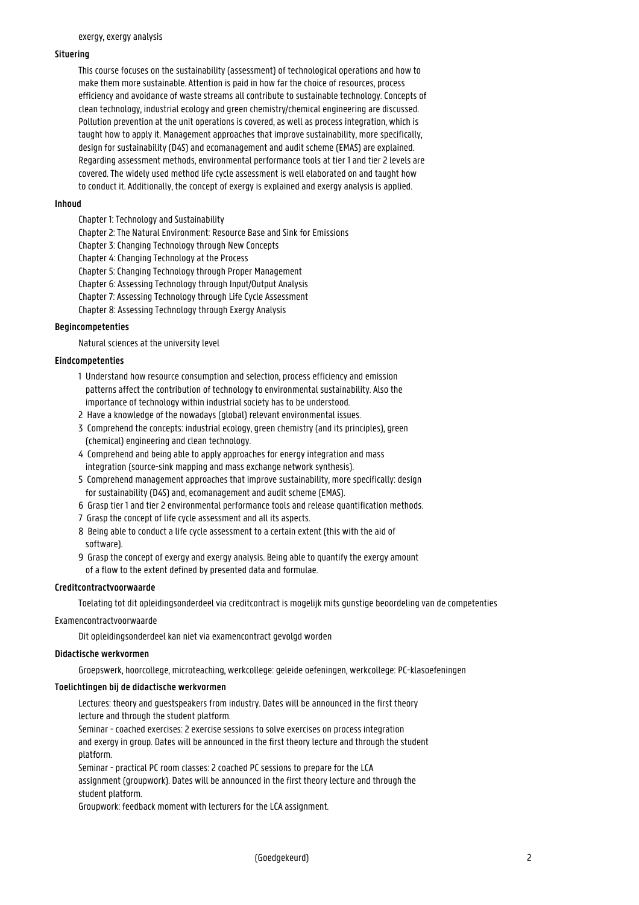#### **Situering**

This course focuses on the sustainability (assessment) of technological operations and how to make them more sustainable. Attention is paid in how far the choice of resources, process efficiency and avoidance of waste streams all contribute to sustainable technology. Concepts of clean technology, industrial ecology and green chemistry/chemical engineering are discussed. Pollution prevention at the unit operations is covered, as well as process integration, which is taught how to apply it. Management approaches that improve sustainability, more specifically, design for sustainability (D4S) and ecomanagement and audit scheme (EMAS) are explained. Regarding assessment methods, environmental performance tools at tier 1 and tier 2 levels are covered. The widely used method life cycle assessment is well elaborated on and taught how to conduct it. Additionally, the concept of exergy is explained and exergy analysis is applied.

#### **Inhoud**

- Chapter 1: Technology and Sustainability
- Chapter 2: The Natural Environment: Resource Base and Sink for Emissions
- Chapter 3: Changing Technology through New Concepts
- Chapter 4: Changing Technology at the Process
- Chapter 5: Changing Technology through Proper Management
- Chapter 6: Assessing Technology through Input/Output Analysis
- Chapter 7: Assessing Technology through Life Cycle Assessment
- Chapter 8: Assessing Technology through Exergy Analysis

#### **Begincompetenties**

Natural sciences at the university level

#### **Eindcompetenties**

- 1 Understand how resource consumption and selection, process efficiency and emission patterns affect the contribution of technology to environmental sustainability. Also the importance of technology within industrial society has to be understood.
- 2 Have a knowledge of the nowadays (global) relevant environmental issues.
- 3 Comprehend the concepts: industrial ecology, green chemistry (and its principles), green (chemical) engineering and clean technology.
- 4 Comprehend and being able to apply approaches for energy integration and mass integration (source-sink mapping and mass exchange network synthesis).
- 5 Comprehend management approaches that improve sustainability, more specifically: design for sustainability (D4S) and, ecomanagement and audit scheme (EMAS).
- 6 Grasp tier 1 and tier 2 environmental performance tools and release quantification methods.
- 7 Grasp the concept of life cycle assessment and all its aspects.
- 8 Being able to conduct a life cycle assessment to a certain extent (this with the aid of software).
- 9 Grasp the concept of exergy and exergy analysis. Being able to quantify the exergy amount of a flow to the extent defined by presented data and formulae.

#### **Creditcontractvoorwaarde**

Toelating tot dit opleidingsonderdeel via creditcontract is mogelijk mits gunstige beoordeling van de competenties

Examencontractvoorwaarde

Dit opleidingsonderdeel kan niet via examencontract gevolgd worden

#### **Didactische werkvormen**

Groepswerk, hoorcollege, microteaching, werkcollege: geleide oefeningen, werkcollege: PC-klasoefeningen

#### **Toelichtingen bij de didactische werkvormen**

Lectures: theory and guestspeakers from industry. Dates will be announced in the first theory lecture and through the student platform.

Seminar - coached exercises: 2 exercise sessions to solve exercises on process integration and exergy in group. Dates will be announced in the first theory lecture and through the student platform.

Seminar - practical PC room classes: 2 coached PC sessions to prepare for the LCA assignment (groupwork). Dates will be announced in the first theory lecture and through the student platform.

Groupwork: feedback moment with lecturers for the LCA assignment.